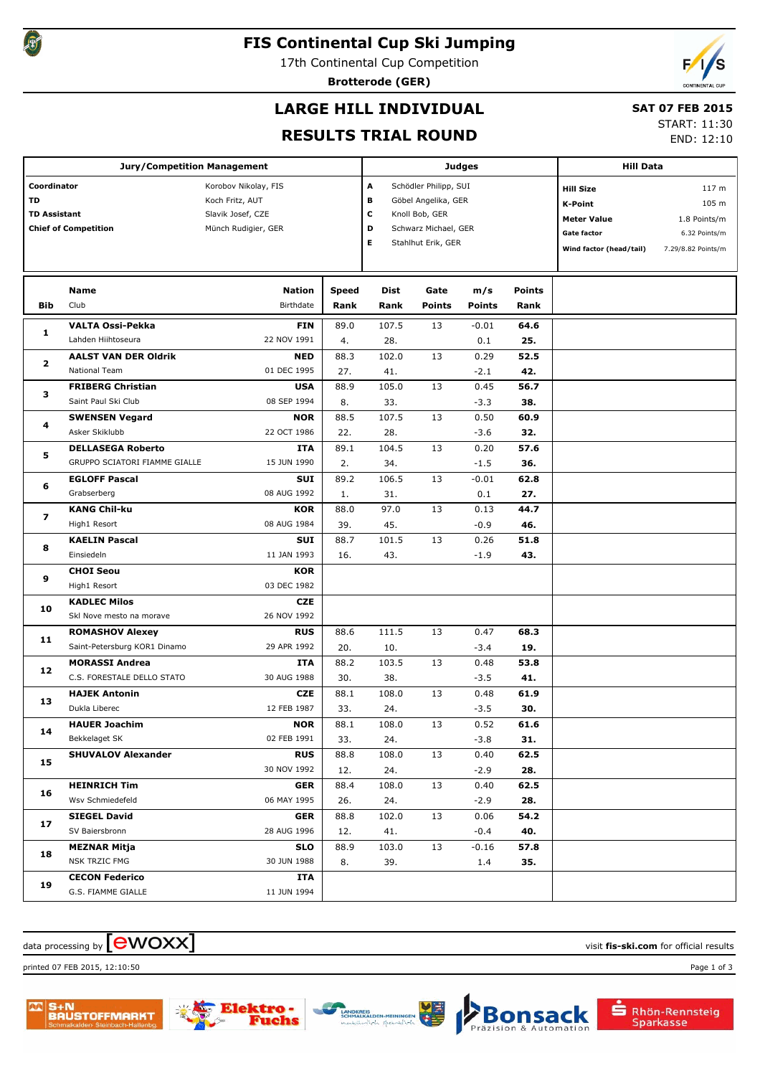

## **FIS Continental Cup Ski Jumping**

17th Continental Cup Competition

**Brotterode (GER)**



## **LARGE HILL INDIVIDUAL**

### **SAT 07 FEB 2015**

### **RESULTS TRIAL ROUND**

START: 11:30

END: 12:10

|                     | Jury/Competition Management   |                      |       | <b>Judges</b>       | <b>Hill Data</b>      |               |                    |                         |                    |
|---------------------|-------------------------------|----------------------|-------|---------------------|-----------------------|---------------|--------------------|-------------------------|--------------------|
| Coordinator         |                               | Korobov Nikolay, FIS |       | A                   | Schödler Philipp, SUI |               |                    | <b>Hill Size</b>        | 117 <sub>m</sub>   |
| TD                  |                               | Koch Fritz, AUT      | в     | Göbel Angelika, GER |                       |               | <b>K-Point</b>     | 105 m                   |                    |
| <b>TD Assistant</b> |                               | Slavik Josef, CZE    | c     | Knoll Bob, GER      |                       |               | <b>Meter Value</b> | 1.8 Points/m            |                    |
|                     | <b>Chief of Competition</b>   | Münch Rudigier, GER  |       | D                   | Schwarz Michael, GER  |               |                    | Gate factor             | 6.32 Points/m      |
|                     |                               |                      |       | Е                   | Stahlhut Erik, GER    |               |                    | Wind factor (head/tail) | 7.29/8.82 Points/m |
|                     |                               |                      |       |                     |                       |               |                    |                         |                    |
|                     | Name                          | Nation               | Speed | Dist                | Gate                  | m/s           | <b>Points</b>      |                         |                    |
| Bib                 | Club                          | Birthdate            | Rank  | Rank                | <b>Points</b>         | <b>Points</b> | Rank               |                         |                    |
|                     | <b>VALTA Ossi-Pekka</b>       | <b>FIN</b>           | 89.0  | 107.5               | 13                    | $-0.01$       | 64.6               |                         |                    |
| 1                   | Lahden Hiihtoseura            | 22 NOV 1991          | 4.    | 28.                 |                       | 0.1           | 25.                |                         |                    |
|                     | <b>AALST VAN DER Oldrik</b>   | <b>NED</b>           | 88.3  | 102.0               | 13                    | 0.29          | 52.5               |                         |                    |
| 2                   | National Team                 | 01 DEC 1995          | 27.   | 41.                 |                       | $-2.1$        | 42.                |                         |                    |
|                     | <b>FRIBERG Christian</b>      | <b>USA</b>           | 88.9  | 105.0               | 13                    | 0.45          | 56.7               |                         |                    |
| з                   | Saint Paul Ski Club           | 08 SEP 1994          | 8.    | 33.                 |                       | $-3.3$        | 38.                |                         |                    |
|                     | <b>SWENSEN Vegard</b>         | <b>NOR</b>           | 88.5  | 107.5               | 13                    | 0.50          | 60.9               |                         |                    |
| 4                   | Asker Skiklubb                | 22 OCT 1986          | 22.   | 28.                 |                       | $-3.6$        | 32.                |                         |                    |
|                     | <b>DELLASEGA Roberto</b>      | ITA                  | 89.1  | 104.5               | 13                    | 0.20          | 57.6               |                         |                    |
| 5                   | GRUPPO SCIATORI FIAMME GIALLE | 15 JUN 1990          | 2.    | 34.                 |                       | $-1.5$        | 36.                |                         |                    |
| 6                   | <b>EGLOFF Pascal</b>          | SUI                  | 89.2  | 106.5               | 13                    | $-0.01$       | 62.8               |                         |                    |
|                     | Grabserberg                   | 08 AUG 1992          | 1.    | 31.                 |                       | 0.1           | 27.                |                         |                    |
| 7                   | <b>KANG Chil-ku</b>           | KOR                  | 88.0  | 97.0                | 13                    | 0.13          | 44.7               |                         |                    |
|                     | High1 Resort                  | 08 AUG 1984          | 39.   | 45.                 |                       | $-0.9$        | 46.                |                         |                    |
|                     | <b>KAELIN Pascal</b>          | SUI                  | 88.7  | 101.5               | 13                    | 0.26          | 51.8               |                         |                    |
| 8                   | Einsiedeln                    | 11 JAN 1993          | 16.   | 43.                 |                       | $-1.9$        | 43.                |                         |                    |
|                     | <b>CHOI Seou</b>              | KOR                  |       |                     |                       |               |                    |                         |                    |
| 9                   | High1 Resort                  | 03 DEC 1982          |       |                     |                       |               |                    |                         |                    |
|                     | <b>KADLEC Milos</b>           | <b>CZE</b>           |       |                     |                       |               |                    |                         |                    |
| 10                  | Skl Nove mesto na morave      | 26 NOV 1992          |       |                     |                       |               |                    |                         |                    |
|                     | <b>ROMASHOV Alexey</b>        | <b>RUS</b>           | 88.6  | 111.5               | 13                    | 0.47          | 68.3               |                         |                    |
| 11                  | Saint-Petersburg KOR1 Dinamo  | 29 APR 1992          | 20.   | 10.                 |                       | $-3.4$        | 19.                |                         |                    |
| 12                  | <b>MORASSI Andrea</b>         | ITA                  | 88.2  | 103.5               | 13                    | 0.48          | 53.8               |                         |                    |
|                     | C.S. FORESTALE DELLO STATO    | 30 AUG 1988          | 30.   | 38.                 |                       | $-3.5$        | 41.                |                         |                    |
| 13                  | <b>HAJEK Antonin</b>          | <b>CZE</b>           | 88.1  | 108.0               | 13                    | 0.48          | 61.9               |                         |                    |
|                     | Dukla Liberec                 | 12 FEB 1987          | 33.   | 24.                 |                       | $-3.5$        | 30.                |                         |                    |
| 14                  | <b>HAUER Joachim</b>          | <b>NOR</b>           | 88.1  | 108.0               | 13                    | 0.52          | 61.6               |                         |                    |
|                     | Bekkelaget SK                 | 02 FEB 1991          | 33.   | 24.                 |                       | $-3.8$        | 31.                |                         |                    |
| 15                  | <b>SHUVALOV Alexander</b>     | <b>RUS</b>           | 88.8  | 108.0               | 13                    | 0.40          | 62.5               |                         |                    |
|                     |                               | 30 NOV 1992          | 12.   | 24.                 |                       | $-2.9$        | 28.                |                         |                    |
| 16                  | <b>HEINRICH Tim</b>           | <b>GER</b>           | 88.4  | 108.0               | 13                    | 0.40          | 62.5               |                         |                    |
|                     | Wsv Schmiedefeld              | 06 MAY 1995          | 26.   | 24.                 |                       | $-2.9$        | 28.                |                         |                    |
| 17                  | <b>SIEGEL David</b>           | <b>GER</b>           | 88.8  | 102.0               | 13                    | 0.06          | 54.2               |                         |                    |
|                     | SV Baiersbronn                | 28 AUG 1996          | 12.   | 41.                 |                       | $-0.4$        | 40.                |                         |                    |
| 18                  | <b>MEZNAR Mitja</b>           | <b>SLO</b>           | 88.9  | 103.0               | 13                    | $-0.16$       | 57.8               |                         |                    |
|                     | NSK TRZIC FMG                 | 30 JUN 1988          | 8.    | 39.                 |                       | 1.4           | 35.                |                         |                    |
| 19                  | <b>CECON Federico</b>         | ITA                  |       |                     |                       |               |                    |                         |                    |
|                     | G.S. FIAMME GIALLE            | 11 JUN 1994          |       |                     |                       |               |                    |                         |                    |

## $\alpha$  data processing by  $\boxed{\text{ewOX}}$

printed 07 FEB 2015, 12:10:50 Page 1 of 3



che



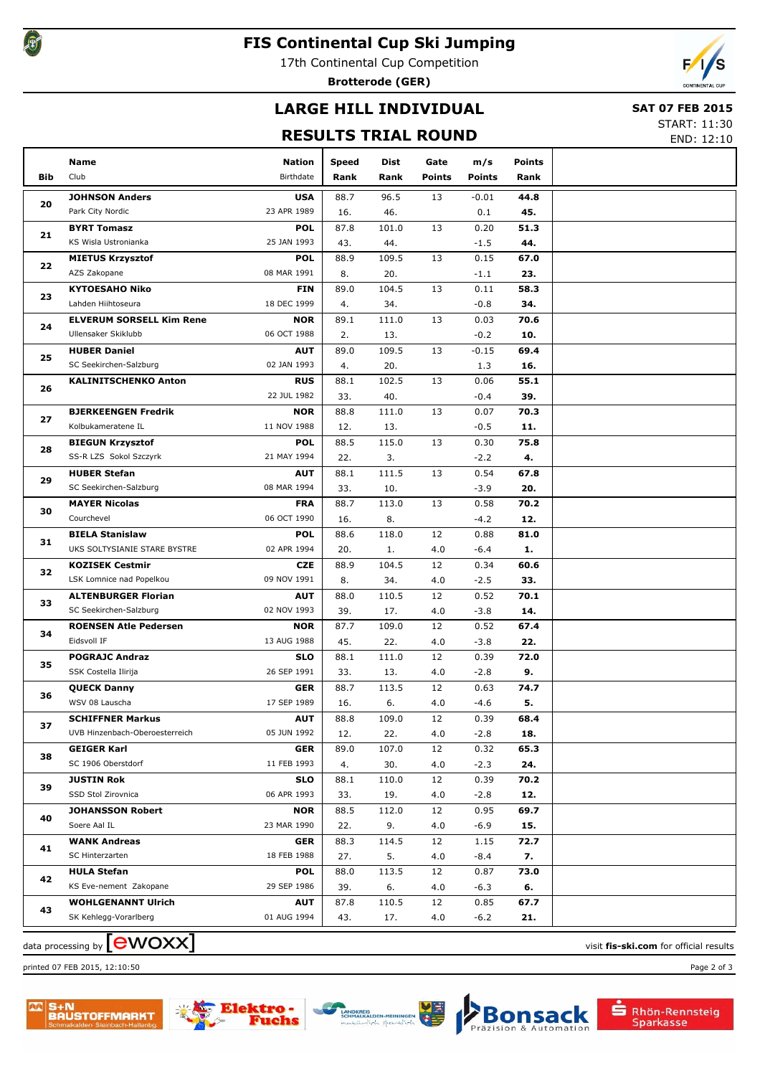

## **FIS Continental Cup Ski Jumping**

17th Continental Cup Competition

**Brotterode (GER)**



# **LARGE HILL INDIVIDUAL**

#### **SAT 07 FEB 2015**

**RESULTS TRIAL ROUND**

START: 11:30 END: 12:10

|     | Name                            | <b>Nation</b> | <b>Speed</b> | Dist  | Gate   | m/s           | <b>Points</b> |  |
|-----|---------------------------------|---------------|--------------|-------|--------|---------------|---------------|--|
| Bib | Club                            | Birthdate     | Rank         | Rank  | Points | <b>Points</b> | Rank          |  |
|     |                                 |               |              |       |        |               |               |  |
| 20  | <b>JOHNSON Anders</b>           | <b>USA</b>    | 88.7         | 96.5  | 13     | $-0.01$       | 44.8          |  |
|     | Park City Nordic                | 23 APR 1989   | 16.          | 46.   |        | 0.1           | 45.           |  |
| 21  | <b>BYRT Tomasz</b>              | <b>POL</b>    | 87.8         | 101.0 | 13     | 0.20          | 51.3          |  |
|     | KS Wisla Ustronianka            | 25 JAN 1993   | 43.          | 44.   |        | $-1.5$        | 44.           |  |
| 22  | <b>MIETUS Krzysztof</b>         | <b>POL</b>    | 88.9         | 109.5 | 13     | 0.15          | 67.0          |  |
|     | AZS Zakopane                    | 08 MAR 1991   | 8.           | 20.   |        | $-1.1$        | 23.           |  |
| 23  | <b>KYTOESAHO Niko</b>           | <b>FIN</b>    | 89.0         | 104.5 | 13     | 0.11          | 58.3          |  |
|     | Lahden Hiihtoseura              | 18 DEC 1999   | 4.           | 34.   |        | $-0.8$        | 34.           |  |
| 24  | <b>ELVERUM SORSELL Kim Rene</b> | <b>NOR</b>    | 89.1         | 111.0 | 13     | 0.03          | 70.6          |  |
|     | Ullensaker Skiklubb             | 06 OCT 1988   | 2.           | 13.   |        | $-0.2$        | 10.           |  |
| 25  | <b>HUBER Daniel</b>             | <b>AUT</b>    | 89.0         | 109.5 | 13     | $-0.15$       | 69.4          |  |
|     | SC Seekirchen-Salzburg          | 02 JAN 1993   | 4.           | 20.   |        | 1.3           | 16.           |  |
| 26  | <b>KALINITSCHENKO Anton</b>     | <b>RUS</b>    | 88.1         | 102.5 | 13     | 0.06          | 55.1          |  |
|     |                                 | 22 JUL 1982   | 33.          | 40.   |        | $-0.4$        | 39.           |  |
| 27  | <b>BJERKEENGEN Fredrik</b>      | <b>NOR</b>    | 88.8         | 111.0 | 13     | 0.07          | 70.3          |  |
|     | Kolbukameratene IL              | 11 NOV 1988   | 12.          | 13.   |        | $-0.5$        | 11.           |  |
| 28  | <b>BIEGUN Krzysztof</b>         | <b>POL</b>    | 88.5         | 115.0 | 13     | 0.30          | 75.8          |  |
|     | SS-R LZS Sokol Szczyrk          | 21 MAY 1994   | 22.          | 3.    |        | $-2.2$        | 4.            |  |
| 29  | <b>HUBER Stefan</b>             | <b>AUT</b>    | 88.1         | 111.5 | 13     | 0.54          | 67.8          |  |
|     | SC Seekirchen-Salzburg          | 08 MAR 1994   | 33.          | 10.   |        | $-3.9$        | 20.           |  |
| 30  | <b>MAYER Nicolas</b>            | <b>FRA</b>    | 88.7         | 113.0 | 13     | 0.58          | 70.2          |  |
|     | Courchevel                      | 06 OCT 1990   | 16.          | 8.    |        | $-4.2$        | 12.           |  |
| 31  | <b>BIELA Stanislaw</b>          | <b>POL</b>    | 88.6         | 118.0 | 12     | 0.88          | 81.0          |  |
|     | UKS SOLTYSIANIE STARE BYSTRE    | 02 APR 1994   | 20.          | 1.    | 4.0    | $-6.4$        | 1.            |  |
| 32  | <b>KOZISEK Cestmir</b>          | <b>CZE</b>    | 88.9         | 104.5 | 12     | 0.34          | 60.6          |  |
|     | LSK Lomnice nad Popelkou        | 09 NOV 1991   | 8.           | 34.   | 4.0    | $-2.5$        | 33.           |  |
| 33  | <b>ALTENBURGER Florian</b>      | <b>AUT</b>    | 88.0         | 110.5 | 12     | 0.52          | 70.1          |  |
|     | SC Seekirchen-Salzburg          | 02 NOV 1993   | 39.          | 17.   | 4.0    | $-3.8$        | 14.           |  |
| 34  | <b>ROENSEN Atle Pedersen</b>    | <b>NOR</b>    | 87.7         | 109.0 | 12     | 0.52          | 67.4          |  |
|     | Eidsvoll IF                     | 13 AUG 1988   | 45.          | 22.   | 4.0    | $-3.8$        | 22.           |  |
| 35  | <b>POGRAJC Andraz</b>           | <b>SLO</b>    | 88.1         | 111.0 | 12     | 0.39          | 72.0          |  |
|     | SSK Costella Ilirija            | 26 SEP 1991   | 33.          | 13.   | 4.0    | $-2.8$        | 9.            |  |
| 36  | <b>QUECK Danny</b>              | <b>GER</b>    | 88.7         | 113.5 | 12     | 0.63          | 74.7          |  |
|     | WSV 08 Lauscha                  | 17 SEP 1989   | 16.          | 6.    | 4.0    | $-4.6$        | 5.            |  |
| 37  | <b>SCHIFFNER Markus</b>         | <b>AUT</b>    | 88.8         | 109.0 | 12     | 0.39          | 68.4          |  |
|     | UVB Hinzenbach-Oberoesterreich  | 05 JUN 1992   | 12.          | 22.   | 4.0    | $-2.8$        | 18.           |  |
| 38  | <b>GEIGER Karl</b>              | <b>GER</b>    | 89.0         | 107.0 | 12     | 0.32          | 65.3          |  |
|     | SC 1906 Oberstdorf              | 11 FEB 1993   | 4.           | 30.   | 4.0    | $-2.3$        | 24.           |  |
| 39  | <b>JUSTIN Rok</b>               | <b>SLO</b>    | 88.1         | 110.0 | 12     | 0.39          | 70.2          |  |
|     | SSD Stol Zirovnica              | 06 APR 1993   | 33.          | 19.   | 4.0    | $-2.8$        | 12.           |  |
|     | <b>JOHANSSON Robert</b>         | <b>NOR</b>    | 88.5         | 112.0 | 12     | 0.95          | 69.7          |  |
| 40  | Soere Aal IL                    | 23 MAR 1990   | 22.          | 9.    | 4.0    | $-6.9$        | 15.           |  |
| 41  | <b>WANK Andreas</b>             | <b>GER</b>    | 88.3         | 114.5 | 12     | 1.15          | 72.7          |  |
|     | SC Hinterzarten                 | 18 FEB 1988   | 27.          | 5.    | 4.0    | $-8.4$        | 7.            |  |
|     | <b>HULA Stefan</b>              | <b>POL</b>    | 88.0         | 113.5 | 12     | 0.87          | 73.0          |  |
| 42  | KS Eve-nement Zakopane          | 29 SEP 1986   | 39.          | 6.    | 4.0    | -6.3          | 6.            |  |
|     | <b>WOHLGENANNT Ulrich</b>       | AUT           | 87.8         | 110.5 | 12     | 0.85          | 67.7          |  |
| 43  | SK Kehlegg-Vorarlberg           | 01 AUG 1994   | 43.          | 17.   | 4.0    | $-6.2$        | 21.           |  |
|     |                                 |               |              |       |        |               |               |  |

data processing by **CWOXX** and  $\overline{C}$  and  $\overline{C}$  and  $\overline{C}$  and  $\overline{C}$  and  $\overline{C}$  and  $\overline{C}$  and  $\overline{C}$  and  $\overline{C}$  and  $\overline{C}$  and  $\overline{C}$  and  $\overline{C}$  and  $\overline{C}$  and  $\overline{C}$  and  $\overline{C}$  and  $\overline{C}$ 

printed 07 FEB 2015, 12:10:50 Page 2 of 3









Rhön-Rennsteig<br>Sparkasse